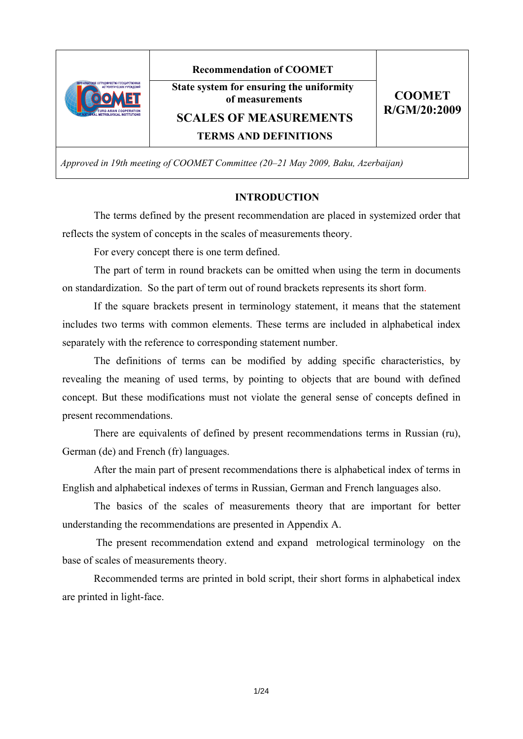

**Recommendation of COOMET** 

**State system for ensuring the uniformity of measurements** 

**CООМЕТ R/GM/20:2009** 

**SCALES OF MEASUREMENTS** 

**TERMS AND DEFINITIONS**

*Approved in 19th meeting of COOMET Committee (20–21 May 2009, Baku, Azerbaijan)* 

### **INTRODUCTION**

The terms defined by the present recommendation are placed in systemized order that reflects the system of concepts in the scales of measurements theory.

For every concept there is one term defined.

The part of term in round brackets can be omitted when using the term in documents on standardization. So the part of term out of round brackets represents its short form.

If the square brackets present in terminology statement, it means that the statement includes two terms with common elements. These terms are included in alphabetical index separately with the reference to corresponding statement number.

The definitions of terms can be modified by adding specific characteristics, by revealing the meaning of used terms, by pointing to objects that are bound with defined concept. But these modifications must not violate the general sense of concepts defined in present recommendations.

There are equivalents of defined by present recommendations terms in Russian (ru), German (de) and French (fr) languages.

After the main part of present recommendations there is alphabetical index of terms in English and alphabetical indexes of terms in Russian, German and French languages also.

The basics of the scales of measurements theory that are important for better understanding the recommendations are presented in Appendix A.

 The present recommendation extend and expand metrological terminology on the base of scales of measurements theory.

Recommended terms are printed in bold script, their short forms in alphabetical index are printed in light-face.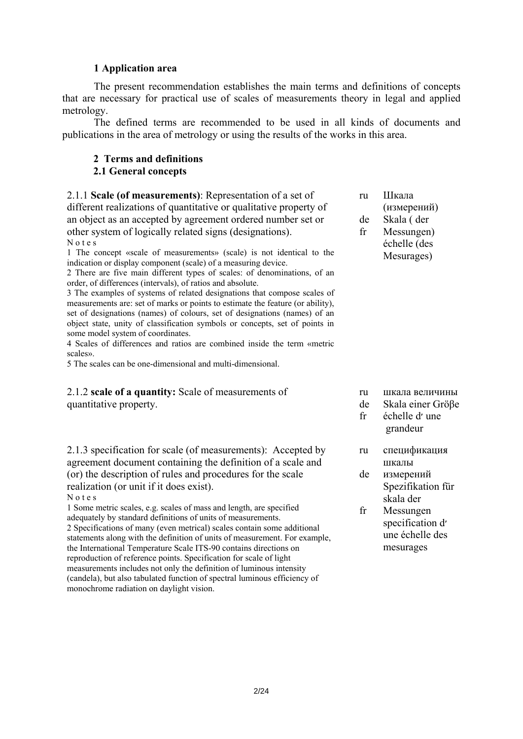### **1 Application area**

The present recommendation establishes the main terms and definitions of concepts that are necessary for practical use of scales of measurements theory in legal and applied metrology.

The defined terms are recommended to be used in all kinds of documents and publications in the area of metrology or using the results of the works in this area.

#### **2 Terms and definitions 2.1 General concepts**

2.1.1 **Scale (of measurements)**: Representation of a set of different realizations of quantitative or qualitative property of an object as an accepted by agreement ordered number set or other system of logically related signs (designations). N o t e s

1 The concept «scale of measurements» (scale) is not identical to the indication or display component (scale) of a measuring device.

2 There are five main different types of scales: of denominations, of an order, of differences (intervals), of ratios and absolute.

3 The examples of systems of related designations that compose scales of measurements are: set of marks or points to estimate the feature (or ability), set of designations (names) of colours, set of designations (names) of an object state, unity of classification symbols or concepts, set of points in some model system of coordinates.

4 Scales of differences and ratios are combined inside the term «metric scales».

5 The scales can be one-dimensional and multi-dimensional.

### 2.1.2 **scale of a quantity:** Scale of measurements of quantitative property.

2.1.3 specification for scale (of measurements): Accepted by agreement document containing the definition of a scale and (or) the description of rules and procedures for the scale realization (or unit if it does exist).

N o t e s

1 Some metric scales, e.g. scales of mass and length, are specified adequately by standard definitions of units of measurements. 2 Specifications of many (even metrical) scales contain some additional statements along with the definition of units of measurement. For example, the International Temperature Scale ITS-90 contains directions on reproduction of reference points. Specification for scale of light measurements includes not only the definition of luminous intensity (candela), but also tabulated function of spectral luminous efficiency of monochrome radiation on daylight vision.

ru de fr Шкала (измерений) Skala ( der Messungen) échelle (des Mesurages)

- ru шкала величины
- de Skala einer Gröβe
- fr échelle d׳ une grandeur
- ru спецификация шкалы
- de измерений Spezifikation für skala der
- fr Messungen specification d' une échelle des mesurages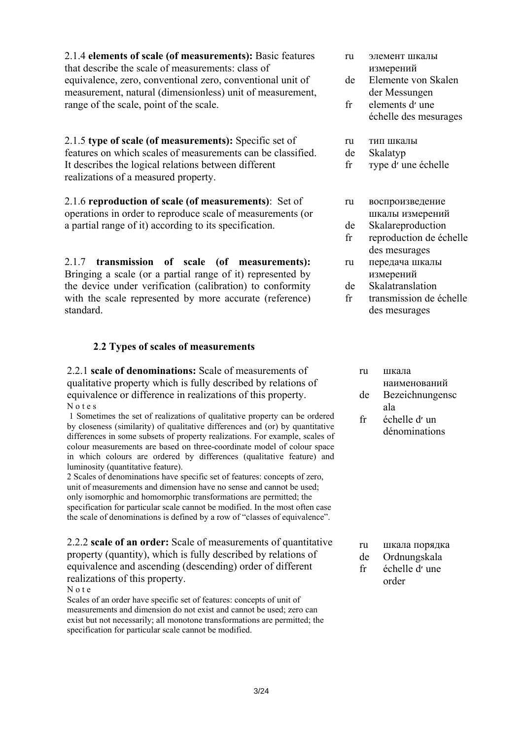2.1.4 **elements of scale (of measurements):** Basic features that describe the scale of measurements: class of equivalence, zero, conventional zero, conventional unit of measurement, natural (dimensionless) unit of measurement, range of the scale, point of the scale.

2.1.5 **type of scale (of measurements):** Specific set of features on which scales of measurements can be classified. It describes the logical relations between different realizations of a measured property.

2.1.6 **reproduction of scale (of measurements)**: Set of operations in order to reproduce scale of measurements (or a partial range of it) according to its specification.

2.1.7 **transmission of scale (of measurements):**  Bringing a scale (or a partial range of it) represented by the device under verification (calibration) to conformity with the scale represented by more accurate (reference) standard.

## **2**.**2 Types of scales of measurements**

2.2.1 **scale of denominations:** Scale of measurements of qualitative property which is fully described by relations of equivalence or difference in realizations of this property. N o t e s

 1 Sometimes the set of realizations of qualitative property can be ordered by closeness (similarity) of qualitative differences and (or) by quantitative differences in some subsets of property realizations. For example, scales of colour measurements are based on three-coordinate model of colour space in which colours are ordered by differences (qualitative feature) and luminosity (quantitative feature).

2 Scales of denominations have specific set of features: concepts of zero, unit of measurements and dimension have no sense and cannot be used; only isomorphic and homomorphic transformations are permitted; the specification for particular scale cannot be modified. In the most often case the scale of denominations is defined by a row of "classes of equivalence".

2.2.2 **scale of an order:** Scale of measurements of quantitative property (quantity), which is fully described by relations of equivalence and ascending (descending) order of different realizations of this property.

#### N o t e

Scales of an order have specific set of features: concepts of unit of measurements and dimension do not exist and cannot be used; zero can exist but not necessarily; all monotone transformations are permitted; the specification for particular scale cannot be modified.

- ru элемент шкалы измерений
- de Elemente von Skalen der Messungen
- fr elements d'une échelle des mesurages
- ru тип шкалы
- de Skalatyp
- fr тype d׳ une échelle
- ru воспроизведение шкалы измерений
- de Skalareproduction
- fr reproduction de échelle des mesurages
- ru передача шкалы измерений
- de **Skalatranslation**
- fr transmission de échelle des mesurages

| ru | шкала           |
|----|-----------------|
|    | наименований    |
| de | Bezeichnungensc |
|    | ala             |
| fr | échelle d'un    |
|    | dénominations   |
|    |                 |

- ru шкала порядка
- de Ordnungskala
- fr échelle d׳ une order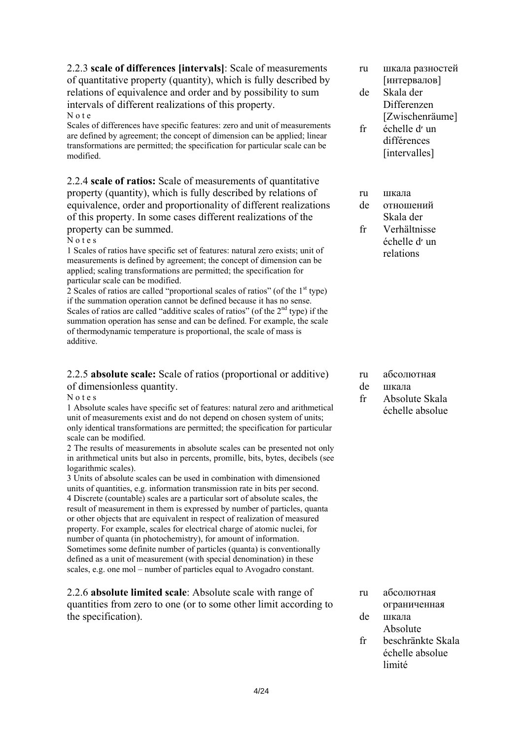2.2.3 **scale of differences [intervals]**: Scale of measurements of quantitative property (quantity), which is fully described by relations of equivalence and order and by possibility to sum intervals of different realizations of this property. N o t e

Scales of differences have specific features: zero and unit of measurements are defined by agreement; the concept of dimension can be applied; linear transformations are permitted; the specification for particular scale can be modified.

2.2.4 **scale of ratios:** Scale of measurements of quantitative property (quantity), which is fully described by relations of equivalence, order and proportionality of different realizations of this property. In some cases different realizations of the property can be summed.

#### N o t e s

1 Scales of ratios have specific set of features: natural zero exists; unit of measurements is defined by agreement; the concept of dimension can be applied; scaling transformations are permitted; the specification for particular scale can be modified.

2 Scales of ratios are called "proportional scales of ratios" (of the  $1<sup>st</sup>$  type) if the summation operation cannot be defined because it has no sense. Scales of ratios are called "additive scales of ratios" (of the  $2<sup>nd</sup>$  type) if the summation operation has sense and can be defined. For example, the scale of thermodynamic temperature is proportional, the scale of mass is additive.

### 2.2.5 **absolute scale:** Scale of ratios (proportional or additive) of dimensionless quantity.

N o t e s

1 Absolute scales have specific set of features: natural zero and arithmetical unit of measurements exist and do not depend on chosen system of units; only identical transformations are permitted; the specification for particular scale can be modified.

2 The results of measurements in absolute scales can be presented not only in arithmetical units but also in percents, promille, bits, bytes, decibels (see logarithmic scales).

3 Units of absolute scales can be used in combination with dimensioned units of quantities, e.g. information transmission rate in bits per second. 4 Discrete (countable) scales are a particular sort of absolute scales, the result of measurement in them is expressed by number of particles, quanta or other objects that are equivalent in respect of realization of measured property. For example, scales for electrical charge of atomic nuclei, for number of quanta (in photochemistry), for amount of information. Sometimes some definite number of particles (quanta) is conventionally defined as a unit of measurement (with special denomination) in these scales, e.g. one mol – number of particles equal to Avogadro constant.

2.2.6 **absolute limited scale**: Absolute scale with range of quantities from zero to one (or to some other limit according to the specification).

- ru шкала разностей [интервалов]
- de Skala der Differenzen [Zwischenräume]
- fr échelle d׳ un différences [intervalles]
- ru шкала
- de отношений
	- Skala der
- fr Verhältnisse échelle d׳ un relations

- ru абсолютная
- de шкала
- fr Absolute Skala échelle absolue

- ru абсолютная ограниченная
- de шкала Absolute
- fr beschränkte Skala échelle absolue limité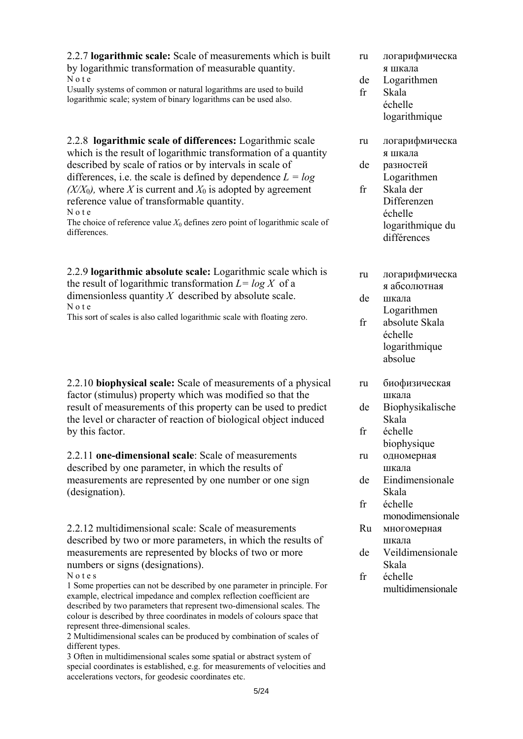2.2.7 **logarithmic scale:** Scale of measurements which is built by logarithmic transformation of measurable quantity.

N o t e Usually systems of common or natural logarithms are used to build logarithmic scale; system of binary logarithms can be used also.

2.2.8 **logarithmic scale of differences:** Logarithmic scale which is the result of logarithmic transformation of a quantity described by scale of ratios or by intervals in scale of differences, i.e. the scale is defined by dependence  $L = log$  $(X/X_0)$ , where *X* is current and  $X_0$  is adopted by agreement reference value of transformable quantity. N o t e

The choice of reference value  $X_0$  defines zero point of logarithmic scale of differences.

2.2.9 **logarithmic absolute scale:** Logarithmic scale which is the result of logarithmic transformation  $L = log X$  of a dimensionless quantity *Х* described by absolute scale. N o t e

This sort of scales is also called logarithmic scale with floating zero.

2.2.10 **biophysical scale:** Scale of measurements of a physical factor (stimulus) property which was modified so that the result of measurements of this property can be used to predict the level or character of reaction of biological object induced by this factor.

2.2.11 **one-dimensional scale**: Scale of measurements described by one parameter, in which the results of measurements are represented by one number or one sign (designation).

2.2.12 multidimensional scale: Scale of measurements described by two or more parameters, in which the results of measurements are represented by blocks of two or more numbers or signs (designations).

#### N o t e s

1 Some properties can not be described by one parameter in principle. For example, electrical impedance and complex reflection coefficient are described by two parameters that represent two-dimensional scales. The colour is described by three coordinates in models of colours space that represent three-dimensional scales.

2 Multidimensional scales can be produced by combination of scales of different types.

3 Often in multidimensional scales some spatial or abstract system of special coordinates is established, e.g. for measurements of velocities and accelerations vectors, for geodesic coordinates etc.

- ru логарифмическа я шкала
- de Logarithmen
- fr Skala échelle logarithmique
- ru логарифмическа я шкала
- de разностей Logarithmen
- fr Skala der Differenzen échelle logarithmique du différences
- ru логарифмическа я абсолютная
- de шкала
- Logarithmen
- fr absolute Skala échelle logarithmique absolue
- ru биофизическая шкала
- de Biophysikalische Skala
- fr échelle biophysique
- ru одномерная шкала
- de Eindimensionale Skala
- fr échelle monodimensionale
- Ru многомерная шкала
- de Veildimensionale Skala
- fr échelle multidimensionale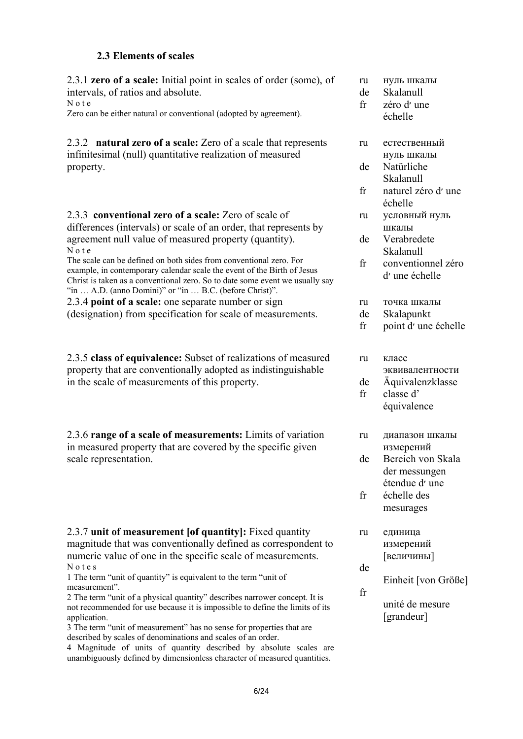### **2.3 Elements of scales**

2.3.1 **zero of a scale:** Initial point in scales of order (some), of intervals, of ratios and absolute. N o t e Zero can be either natural or conventional (adopted by agreement).

2.3.2 **natural zero of a scale:** Zero of a scale that represents infinitesimal (null) quantitative realization of measured property.

2.3.3 **conventional zero of a scale:** Zero of scale of differences (intervals) or scale of an order, that represents by agreement null value of measured property (quantity). N o t e

The scale can be defined on both sides from conventional zero. For example, in contemporary calendar scale the event of the Birth of Jesus Christ is taken as a conventional zero. So to date some event we usually say "in … A.D. (anno Domini)" or "in … B.C. (before Christ)".

2.3.4 **point of a scale:** one separate number or sign (designation) from specification for scale of measurements.

2.3.5 **class of equivalence:** Subset of realizations of measured property that are conventionally adopted as indistinguishable in the scale of measurements of this property.

2.3.6 **range of a scale of measurements:** Limits of variation in measured property that are covered by the specific given scale representation.

2.3.7 **unit of measurement [of quantity]:** Fixed quantity magnitude that was conventionally defined as correspondent to numeric value of one in the specific scale of measurements. N o t e s

1 The term "unit of quantity" is equivalent to the term "unit of measurement".

2 The term "unit of a physical quantity" describes narrower concept. It is not recommended for use because it is impossible to define the limits of its application.

3 The term "unit of measurement" has no sense for properties that are described by scales of denominations and scales of an order.

4 Magnitude of units of quantity described by absolute scales are unambiguously defined by dimensionless character of measured quantities.

- ru нуль шкалы
- de Skalanull
- fr zéro d׳ une échelle
- ru естественный нуль шкалы
- de Natürliche
- Skalanull
- fr naturel zéro d׳ une échelle
- ru условный нуль шкалы
- de Verabredete Skalanull
- fr conventionnel zéro d׳ une échelle
- ru точка шкалы
- de **Skalapunkt**
- fr point d׳ une échelle
- ru класс эквивалентности
- de Äquivalenzklasse
- fr classe d' équivalence
- ru диапазон шкалы измерений
- de Bereich von Skala der messungen étendue d׳ une
- fr échelle des mesurages
- ru единица измерений [величины]
- de

fr

Einheit [von Größe]

unité de mesure [grandeur]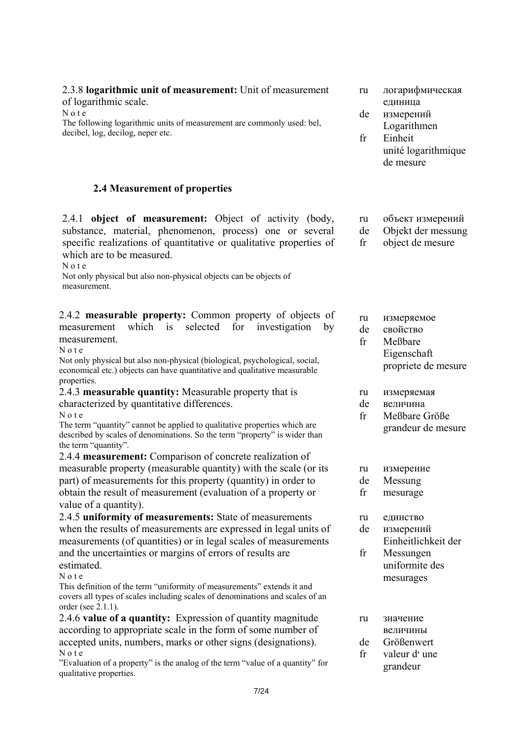|  | substance, material, phenomenon, process) one or several           |  |  |  |
|--|--------------------------------------------------------------------|--|--|--|
|  | specific realizations of quantitative or qualitative properties of |  |  |  |

2.4.1 **object of measurement:** Object of activity (body,

2.3.8 **logarithmic unit of measurement:** Unit of measurement

The following logarithmic units of measurement are commonly used: bel,

which are to be measured.

of logarithmic scale.

decibel, log, decilog, neper etc.

N o t e

 $N$  o t  $e$ 

Not only physical but also non-physical objects can be objects of measurement.

**2.4 Measurement of properties** 

2.4.2 **measurable property:** Common property of objects of measurement which is selected for investigation by measurement.

N o t e

Not only physical but also non-physical (biological, psychological, social, economical etc.) objects can have quantitative and qualitative measurable properties.

2.4.3 **measurable quantity:** Measurable property that is characterized by quantitative differences. N o t e

The term "quantity" cannot be applied to qualitative properties which are described by scales of denominations. So the term "property" is wider than the term "quantity".

2.4.4 **measurement:** Comparison of concrete realization of measurable property (measurable quantity) with the scale (or its part) of measurements for this property (quantity) in order to obtain the result of measurement (evaluation of a property or value of a quantity).

2.4.5 **uniformity of measurements:** State of measurements when the results of measurements are expressed in legal units of measurements (of quantities) or in legal scales of measurements and the uncertainties or margins of errors of results are estimated.

N o t e

This definition of the term "uniformity of measurements" extends it and covers all types of scales including scales of denominations and scales of an order (see 2.1.1).

2.4.6 **value of a quantity:** Expression of quantity magnitude according to appropriate scale in the form of some number of accepted units, numbers, marks or other signs (designations). N o t e

"Evaluation of a property" is the analog of the term "value of a quantity" for qualitative properties.

- ru логарифмическая единица
- de измерений
- fr Logarithmen Einheit unité logarithmique

de mesure

- ru объект измерений
- de Objekt der messung
- fr оbject de mesure
- ru измеряемое
- de свойство
- fr Meßbare Eigenschaft propriete de mesure
- ru измеряемая
- de величина
- fr Meßbare Größe grandeur de mesure
- ru измерение
- de Messung
- fr mesurage
- ru единство
- de измерений Einheitlichkeit der
- fr Messungen uniformite des mesurages
- ru значение величины
- de Größenwert
- fr valeur d׳ une
	- grandeur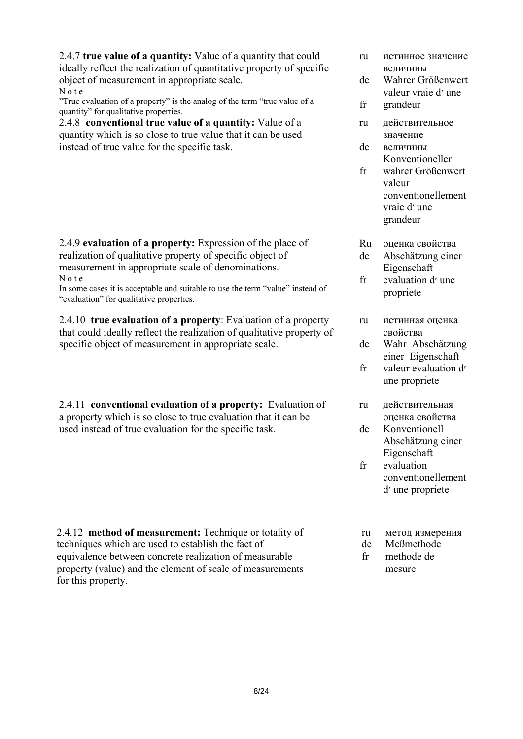2.4.7 **true value of a quantity:** Value of a quantity that could ideally reflect the realization of quantitative property of specific object of measurement in appropriate scale. N o t e

"True evaluation of a property" is the analog of the term "true value of a quantity" for qualitative properties.

2.4.8 **conventional true value of a quantity:** Value of a quantity which is so close to true value that it can be used instead of true value for the specific task.

2.4.9 **evaluation of a property:** Expression of the place of realization of qualitative property of specific object of measurement in appropriate scale of denominations. N o t e

In some cases it is acceptable and suitable to use the term "value" instead of "evaluation" for qualitative properties.

2.4.10 **true evaluation of a property**: Evaluation of a property that could ideally reflect the realization of qualitative property of specific object of measurement in appropriate scale.

2.4.11 **conventional evaluation of a property:** Evaluation of a property which is so close to true evaluation that it can be used instead of true evaluation for the specific task.

2.4.12 **method of measurement:** Technique or totality of techniques which are used to establish the fact of equivalence between concrete realization of measurable property (value) and the element of scale of measurements for this property.

- ru истинное значение величины
- de Wahrer Größenwert valeur vraie d׳ une
- fr grandeur
- ru действительное значение
- de величины Konventioneller
- fr wahrer Größenwert valeur conventionellement vraie d׳ une grandeur
- Ru оценка свойства
- de Abschätzung einer Eigenschaft
- fr evaluation d'une propriete
- ru истинная оценка свойства
- de Wahr Abschätzung einer Eigenschaft
- fr valeur evaluation d׳ une propriete
- ru действительная оценка свойства
- de Konventionell Abschätzung einer Eigenschaft
- fr evaluation conventionellement d׳ une propriete
- ru метод измерения
- de Meßmethode
- fr methode de mesure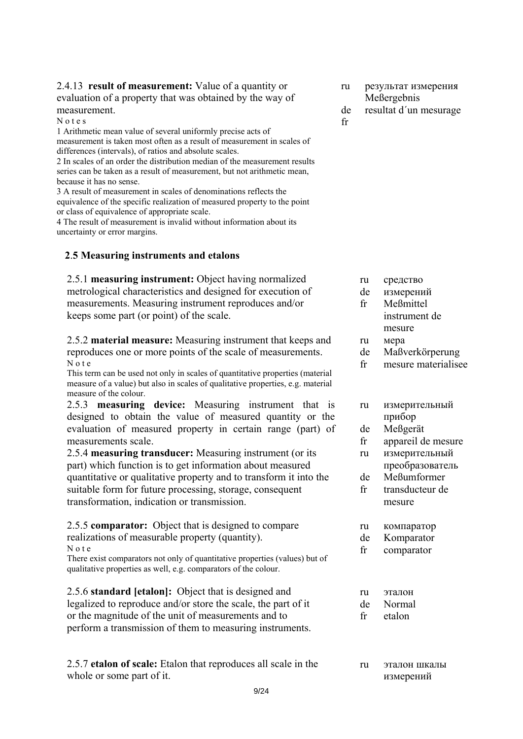### 2.4.13 **result of measurement:** Value of a quantity or evaluation of a property that was obtained by the way of measurement.

N o t e s

1 Arithmetic mean value of several uniformly precise acts of measurement is taken most often as a result of measurement in scales of differences (intervals), of ratios and absolute scales.

2 In scales of an order the distribution median of the measurement results series can be taken as a result of measurement, but not arithmetic mean, because it has no sense.

3 A result of measurement in scales of denominations reflects the equivalence of the specific realization of measured property to the point or class of equivalence of appropriate scale.

4 The result of measurement is invalid without information about its uncertainty or error margins.

## **2**.**5 Measuring instruments and etalons**

2.5.1 **measuring instrument:** Object having normalized metrological characteristics and designed for execution of measurements. Measuring instrument reproduces and/or keeps some part (or point) of the scale.

2.5.2 **material measure:** Measuring instrument that keeps and reproduces one or more points of the scale of measurements. N o t e

This term can be used not only in scales of quantitative properties (material measure of a value) but also in scales of qualitative properties, e.g. material measure of the colour.

2.5.3 **measuring device:** Measuring instrument that is designed to obtain the value of measured quantity or the evaluation of measured property in certain range (part) of measurements scale.

2.5.4 **measuring transducer:** Measuring instrument (or its part) which function is to get information about measured quantitative or qualitative property and to transform it into the suitable form for future processing, storage, consequent transformation, indication or transmission.

## 2.5.5 **comparator:** Object that is designed to compare realizations of measurable property (quantity).

N o t e

There exist comparators not only of quantitative properties (values) but of qualitative properties as well, e.g. comparators of the colour.

2.5.6 **standard [etalon]:** Object that is designed and legalized to reproduce and/or store the scale, the part of it or the magnitude of the unit of measurements and to perform a transmission of them to measuring instruments.

2.5.7 **etalon of scale:** Etalon that reproduces all scale in the whole or some part of it.

- ru результат измерения Meßergebnis
- de resultat d´un mesurage

fr

- ru средство
- de измерений
- fr Meßmittel instrument de mesure
- ru мера
- de Maßverkörperung
- fr mesure materialisee

| ru | измерительный |
|----|---------------|
|    | прибор        |

- de Meßgerät
- fr appareil de mesure
- ru измерительный
- преобразователь
- de Meßumformer
- fr transducteur de mesure
- ru компаратор
- de Komparator
- fr сomparator

| ru | эталон |
|----|--------|
| de | Normal |
| fr | etalon |

ru эталон шкалы измерений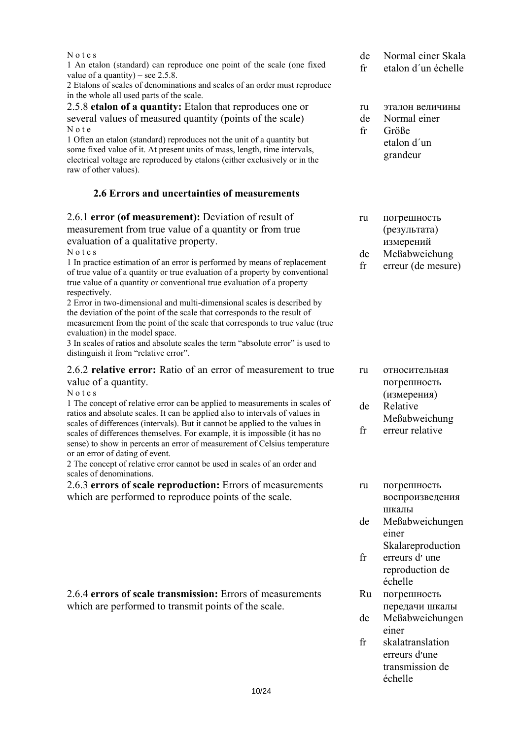| Notes<br>1 An etalon (standard) can reproduce one point of the scale (one fixed<br>value of a quantity) – see $2.5.8$ .<br>2 Etalons of scales of denominations and scales of an order must reproduce                                                                                                                                                                                                                                                                                                                                                                                                                                                                                                                                                                                                                          | de<br>fr                        | Normal einer Skala<br>etalon d'un échelle                                                   |
|--------------------------------------------------------------------------------------------------------------------------------------------------------------------------------------------------------------------------------------------------------------------------------------------------------------------------------------------------------------------------------------------------------------------------------------------------------------------------------------------------------------------------------------------------------------------------------------------------------------------------------------------------------------------------------------------------------------------------------------------------------------------------------------------------------------------------------|---------------------------------|---------------------------------------------------------------------------------------------|
| in the whole all used parts of the scale.<br>2.5.8 etalon of a quantity: Etalon that reproduces one or<br>several values of measured quantity (points of the scale)<br>Note<br>1 Often an etalon (standard) reproduces not the unit of a quantity but<br>some fixed value of it. At present units of mass, length, time intervals,<br>electrical voltage are reproduced by etalons (either exclusively or in the<br>raw of other values).                                                                                                                                                                                                                                                                                                                                                                                      | ru<br>de<br>fr                  | эталон величины<br>Normal einer<br>Größe<br>etalon d'un<br>grandeur                         |
| 2.6 Errors and uncertainties of measurements                                                                                                                                                                                                                                                                                                                                                                                                                                                                                                                                                                                                                                                                                                                                                                                   |                                 |                                                                                             |
| 2.6.1 error (of measurement): Deviation of result of<br>measurement from true value of a quantity or from true<br>evaluation of a qualitative property.<br>Notes<br>1 In practice estimation of an error is performed by means of replacement<br>of true value of a quantity or true evaluation of a property by conventional<br>true value of a quantity or conventional true evaluation of a property<br>respectively.<br>2 Error in two-dimensional and multi-dimensional scales is described by<br>the deviation of the point of the scale that corresponds to the result of<br>measurement from the point of the scale that corresponds to true value (true<br>evaluation) in the model space.<br>3 In scales of ratios and absolute scales the term "absolute error" is used to<br>distinguish it from "relative error". | ru<br>de<br>$\operatorname{fr}$ | погрешность<br>(результата)<br>измерений<br>Meßabweichung<br>erreur (de mesure)             |
| 2.6.2 relative error: Ratio of an error of measurement to true<br>value of a quantity.<br>Notes<br>1 The concept of relative error can be applied to measurements in scales of<br>ratios and absolute scales. It can be applied also to intervals of values in<br>scales of differences (intervals). But it cannot be applied to the values in<br>scales of differences themselves. For example, it is impossible (it has no<br>sense) to show in percents an error of measurement of Celsius temperature<br>or an error of dating of event.<br>2 The concept of relative error cannot be used in scales of an order and<br>scales of denominations.                                                                                                                                                                           | ru<br>de<br>fr                  | относительная<br>погрешность<br>(измерения)<br>Relative<br>Meßabweichung<br>erreur relative |

2.6.3 **errors of scale reproduction:** Errors of measurements which are performed to reproduce points of the scale.

2.6.4 **errors of scale transmission:** Errors of measurements which are performed to transmit points of the scale.

- ru погрешность воспроизведения шкалы
- de Meßabweichungen einer Skalareproduction
- fr erreurs d'une
- reproduction de échelle
- Ru погрешность передачи шкалы
- de Meßabweichungen einer
- fr skalatranslation erreurs d'une transmission de échelle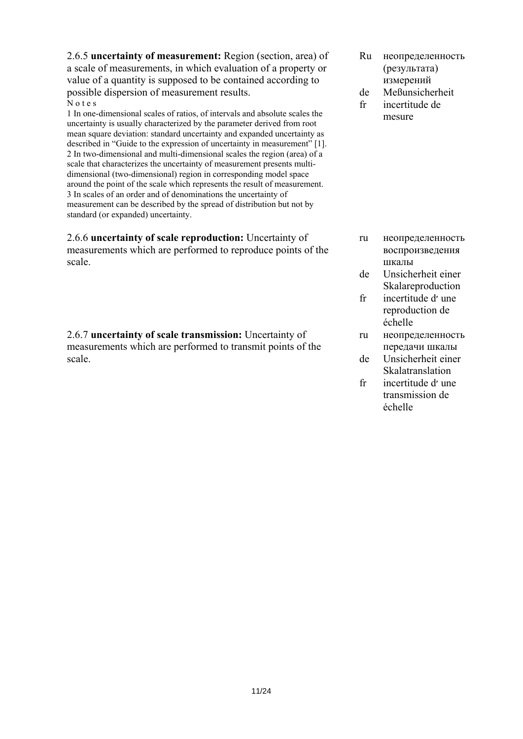2.6.5 **uncertainty of measurement:** Region (section, area) of a scale of measurements, in which evaluation of a property or value of a quantity is supposed to be contained according to possible dispersion of measurement results. N o t e s

1 In one-dimensional scales of ratios, of intervals and absolute scales the uncertainty is usually characterized by the parameter derived from root mean square deviation: standard uncertainty and expanded uncertainty as described in "Guide to the expression of uncertainty in measurement" [1]. 2 In two-dimensional and multi-dimensional scales the region (area) of a scale that characterizes the uncertainty of measurement presents multidimensional (two-dimensional) region in corresponding model space around the point of the scale which represents the result of measurement. 3 In scales of an order and of denominations the uncertainty of measurement can be described by the spread of distribution but not by standard (or expanded) uncertainty.

2.6.6 **uncertainty of scale reproduction:** Uncertainty of measurements which are performed to reproduce points of the scale.

2.6.7 **uncertainty of scale transmission:** Uncertainty of measurements which are performed to transmit points of the scale.

- Ru неопределенность (результата) измерений
- de fr Meßunsicherheit incertitude de
- mesure

- ru неопределенность воспроизведения шкалы
- de Unsicherheit einer Skalareproduction
- fr incertitude d׳ une reproduction de échelle
- ru неопределенность передачи шкалы
- de Unsicherheit einer **Skalatranslation**
- fr incertitude d׳ une transmission de échelle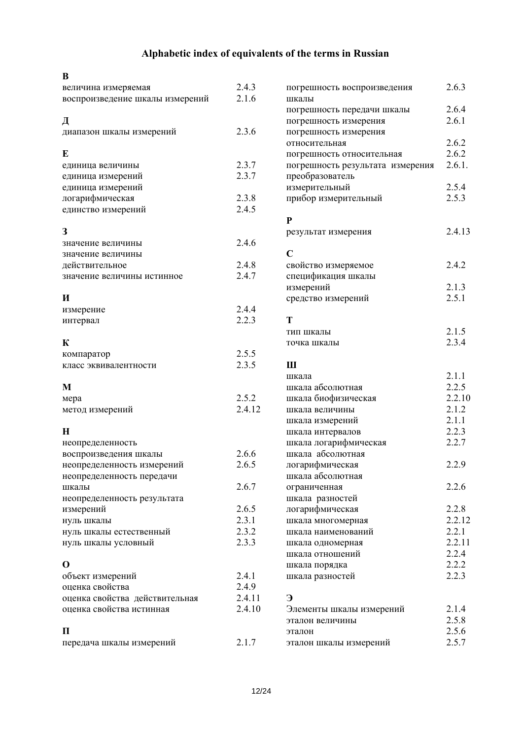# **Alphabetic index of equivalents of the terms in Russian**

| B                               |        |                                  |        |
|---------------------------------|--------|----------------------------------|--------|
| величина измеряемая             | 2.4.3  | погрешность воспроизведения      | 2.6.3  |
| воспроизведение шкалы измерений | 2.1.6  | шкалы                            |        |
|                                 |        | погрешность передачи шкалы       | 2.6.4  |
| Д                               |        | погрешность измерения            | 2.6.1  |
| диапазон шкалы измерений        | 2.3.6  | погрешность измерения            |        |
|                                 |        | относительная                    | 2.6.2  |
| E                               |        | погрешность относительная        | 2.6.2  |
| единица величины                | 2.3.7  | погрешность результата измерения | 2.6.1. |
| единица измерений               | 2.3.7  | преобразователь                  |        |
| единица измерений               |        | измерительный                    | 2.5.4  |
| логарифмическая                 | 2.3.8  | прибор измерительный             | 2.5.3  |
| единство измерений              | 2.4.5  |                                  |        |
|                                 |        | ${\bf P}$                        |        |
| 3                               |        | результат измерения              | 2.4.13 |
| значение величины               | 2.4.6  |                                  |        |
| значение величины               |        | $\overline{C}$                   |        |
| действительное                  | 2.4.8  | свойство измеряемое              | 2.4.2  |
| значение величины истинное      | 2.4.7  | спецификация шкалы               |        |
|                                 |        | измерений                        | 2.1.3  |
| И                               |        | средство измерений               | 2.5.1  |
| измерение                       | 2.4.4  |                                  |        |
| интервал                        | 2.2.3  | T                                |        |
|                                 |        | тип шкалы                        | 2.1.5  |
| К                               |        | точка шкалы                      | 2.3.4  |
| компаратор                      | 2.5.5  |                                  |        |
| класс эквивалентности           | 2.3.5  | Ш                                |        |
|                                 |        | шкала                            | 2.1.1  |
| M                               |        | шкала абсолютная                 | 2.2.5  |
| мера                            | 2.5.2  | шкала биофизическая              | 2.2.10 |
| метод измерений                 | 2.4.12 | шкала величины                   | 2.1.2  |
|                                 |        | шкала измерений                  | 2.1.1  |
| H                               |        | шкала интервалов                 | 2.2.3  |
| неопределенность                |        | шкала логарифмическая            | 2.2.7  |
| воспроизведения шкалы           | 2.6.6  | шкала абсолютная                 |        |
| неопределенность измерений      | 2.6.5  | логарифмическая                  | 2.2.9  |
| неопределенность передачи       |        | шкала абсолютная                 |        |
| шкалы                           | 2.6.7  | ограниченная                     | 2.2.6  |
| неопределенность результата     |        | шкала разностей                  |        |
| измерений                       | 2.6.5  | логарифмическая                  | 2.2.8  |
| нуль шкалы                      | 2.3.1  | шкала многомерная                | 2.2.12 |
| нуль шкалы естественный         | 2.3.2  | шкала наименований               | 2.2.1  |
| нуль шкалы условный             | 2.3.3  | шкала одномерная                 | 2.2.11 |
|                                 |        | шкала отношений                  | 2.2.4  |
| $\bf{0}$                        |        | шкала порядка                    | 2.2.2  |
| объект измерений                | 2.4.1  | шкала разностей                  | 2.2.3  |
| оценка свойства                 | 2.4.9  |                                  |        |
| оценка свойства действительная  | 2.4.11 | Э                                |        |
| оценка свойства истинная        | 2.4.10 | Элементы шкалы измерений         | 2.1.4  |
|                                 |        | эталон величины                  | 2.5.8  |
| П                               |        | эталон                           | 2.5.6  |
| передача шкалы измерений        | 2.1.7  | эталон шкалы измерений           | 2.5.7  |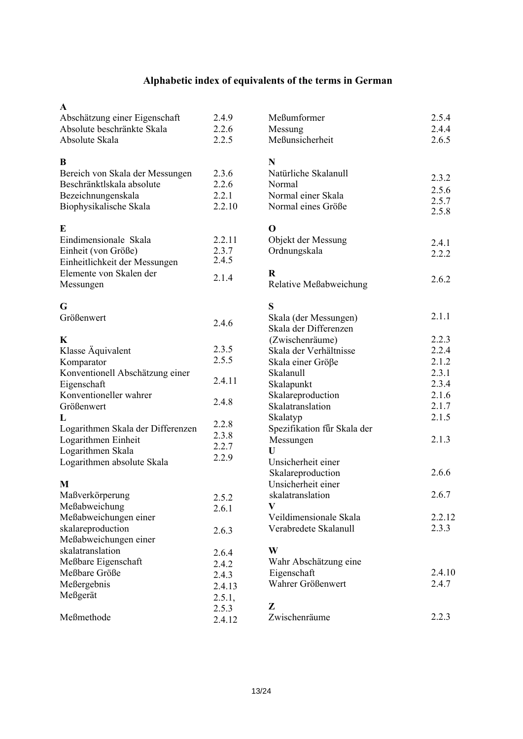# **Alphabetic index of equivalents of the terms in German**

| A                                 |        |                             |        |
|-----------------------------------|--------|-----------------------------|--------|
| Abschätzung einer Eigenschaft     | 2.4.9  | Meßumformer                 | 2.5.4  |
| Absolute beschränkte Skala        | 2.2.6  | Messung                     | 2.4.4  |
| Absolute Skala                    | 2.2.5  | Meßunsicherheit             | 2.6.5  |
| B                                 |        | N                           |        |
| Bereich von Skala der Messungen   | 2.3.6  | Natürliche Skalanull        |        |
| Beschränktlskala absolute         | 2.2.6  | Normal                      | 2.3.2  |
| Bezeichnungenskala                | 2.2.1  | Normal einer Skala          | 2.5.6  |
| Biophysikalische Skala            | 2.2.10 | Normal eines Größe          | 2.5.7  |
|                                   |        |                             | 2.5.8  |
| E                                 |        | $\mathbf 0$                 |        |
| Eindimensionale Skala             | 2.2.11 | Objekt der Messung          | 2.4.1  |
| Einheit (von Größe)               | 2.3.7  | Ordnungskala                | 2.2.2  |
| Einheitlichkeit der Messungen     | 2.4.5  |                             |        |
| Elemente von Skalen der           | 2.1.4  | $\bf R$                     |        |
| Messungen                         |        | Relative Meßabweichung      | 2.6.2  |
| G                                 |        | S                           |        |
| Größenwert                        |        | Skala (der Messungen)       | 2.1.1  |
|                                   | 2.4.6  | Skala der Differenzen       |        |
| K                                 |        | (Zwischenräume)             | 2.2.3  |
| Klasse Äquivalent                 | 2.3.5  | Skala der Verhältnisse      | 2.2.4  |
| Komparator                        | 2.5.5  | Skala einer Größe           | 2.1.2  |
| Konventionell Abschätzung einer   |        | Skalanull                   | 2.3.1  |
| Eigenschaft                       | 2.4.11 | Skalapunkt                  | 2.3.4  |
| Konventioneller wahrer            |        | Skalareproduction           | 2.1.6  |
| Größenwert                        | 2.4.8  | Skalatranslation            | 2.1.7  |
| L                                 |        | Skalatyp                    | 2.1.5  |
| Logarithmen Skala der Differenzen | 2.2.8  | Spezifikation für Skala der |        |
| Logarithmen Einheit               | 2.3.8  | Messungen                   | 2.1.3  |
| Logarithmen Skala                 | 2.2.7  | U                           |        |
| Logarithmen absolute Skala        | 2.2.9  | Unsicherheit einer          |        |
|                                   |        | Skalareproduction           | 2.6.6  |
| M                                 |        | Unsicherheit einer          |        |
| Maßverkörperung                   | 2.5.2  | skalatranslation            | 2.6.7  |
| Meßabweichung                     | 2.6.1  | V                           |        |
| Meßabweichungen einer             |        | Veildimensionale Skala      | 2.2.12 |
| skalareproduction                 | 2.6.3  | Verabredete Skalanull       | 2.3.3  |
| Meßabweichungen einer             |        |                             |        |
| skalatranslation                  | 2.6.4  | W                           |        |
| Meßbare Eigenschaft               | 2.4.2  | Wahr Abschätzung eine       |        |
| Meßbare Größe                     | 2.4.3  | Eigenschaft                 | 2.4.10 |
| Meßergebnis                       | 2.4.13 | Wahrer Größenwert           | 2.4.7  |
| Meßgerät                          | 2.5.1, |                             |        |
|                                   | 2.5.3  | Z                           |        |
| Meßmethode                        | 2.4.12 | Zwischenräume               | 2.2.3  |
|                                   |        |                             |        |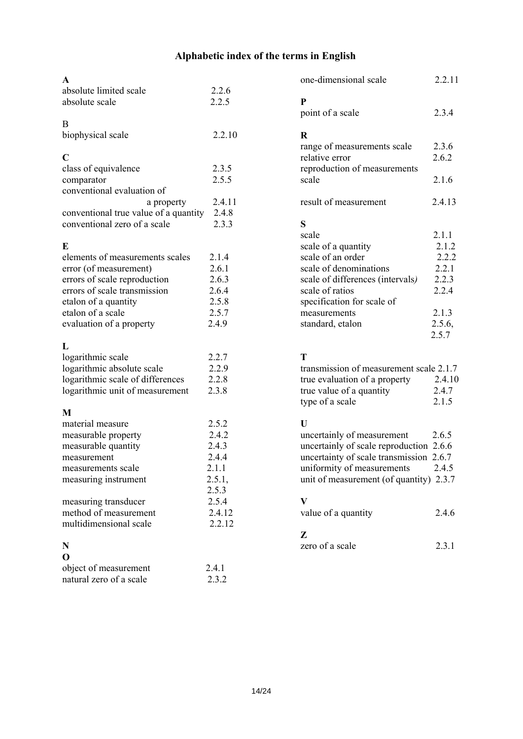# **Alphabetic index of the terms in English**

| absolute limited scale | 2.2.6 |
|------------------------|-------|
| absolute scale         | 2.2.5 |

# B

| biophysical scale | 2.2.10 |
|-------------------|--------|
|-------------------|--------|

# **C**

| class of equivalence                  | 2.3.5  |
|---------------------------------------|--------|
| comparator                            | 2.5.5  |
| conventional evaluation of            |        |
| a property                            | 2.4.11 |
| conventional true value of a quantity | 2.4.8  |
| conventional zero of a scale          | 2.3.3  |

### **E**

| elements of measurements scales | 2 1 4 |
|---------------------------------|-------|
| error (of measurement)          | 2.6.1 |
| errors of scale reproduction    | 2.6.3 |
| errors of scale transmission    | 2.6.4 |
| etalon of a quantity            | 2.5.8 |
| etalon of a scale               | 2.5.7 |
| evaluation of a property        | 249   |

# **L**

| logarithmic scale                | 2.2.7 |
|----------------------------------|-------|
| logarithmic absolute scale       | 2.2.9 |
| logarithmic scale of differences | 2.2.8 |
| logarithmic unit of measurement  | 2.3.8 |

# **M**

| material measure       | 252    |
|------------------------|--------|
| measurable property    | 2.4.2  |
| measurable quantity    | 2.4.3  |
| measurement            | 2.4.4  |
| measurements scale     | 2.1.1  |
| measuring instrument   | 2.5.1, |
|                        | 2.5.3  |
| measuring transducer   | 2.5.4  |
| method of measurement  | 2.4.12 |
| multidimensional scale | 2.2.12 |
|                        |        |

# **N**

| O                       |       |
|-------------------------|-------|
| object of measurement   | 2.4.1 |
| natural zero of a scale | 2.3.2 |

| one-dimensional scale                                      | 2.2.11 |
|------------------------------------------------------------|--------|
| P                                                          |        |
| point of a scale                                           | 2.3.4  |
| R                                                          |        |
| range of measurements scale                                | 2.3.6  |
| relative error                                             | 2.6.2  |
| reproduction of measurements                               |        |
| scale                                                      | 2.1.6  |
| result of measurement                                      | 2.4.13 |
| S                                                          |        |
| scale                                                      | 2.1.1  |
| scale of a quantity                                        | 2.1.2  |
| scale of an order                                          | 2.2.2  |
| scale of denominations                                     | 2.2.1  |
| scale of differences (intervals)                           | 2.2.3  |
| scale of ratios                                            | 2.2.4  |
| specification for scale of                                 |        |
| measurements                                               | 2.1.3  |
| standard, etalon                                           | 2.5.6, |
|                                                            | 2.5.7  |
| T                                                          |        |
| transmission of measurement scale 2.1.7                    |        |
| $t_{\text{max}}$ explication of a near entry $\sim 2.4.10$ |        |

| $\mu$ and $\mu$ and $\mu$ and $\mu$ and $\mu$ and $\mu$ and $\mu$ . |        |
|---------------------------------------------------------------------|--------|
| true evaluation of a property                                       | 2.4.10 |
| true value of a quantity                                            | 2.4.7  |
| type of a scale                                                     | 2.1.5  |

## **U**

| uncertainly of measurement              | 2.6.5 |
|-----------------------------------------|-------|
| uncertainly of scale reproduction 2.6.6 |       |
| uncertainty of scale transmission 2.6.7 |       |
| uniformity of measurements              | 2.4.5 |
| unit of measurement (of quantity) 2.3.7 |       |

# **V**

| value of a quantity | 2.4.6 |
|---------------------|-------|
|---------------------|-------|

# **Z**

| zero of a scale | 2.3.1 |
|-----------------|-------|
|                 |       |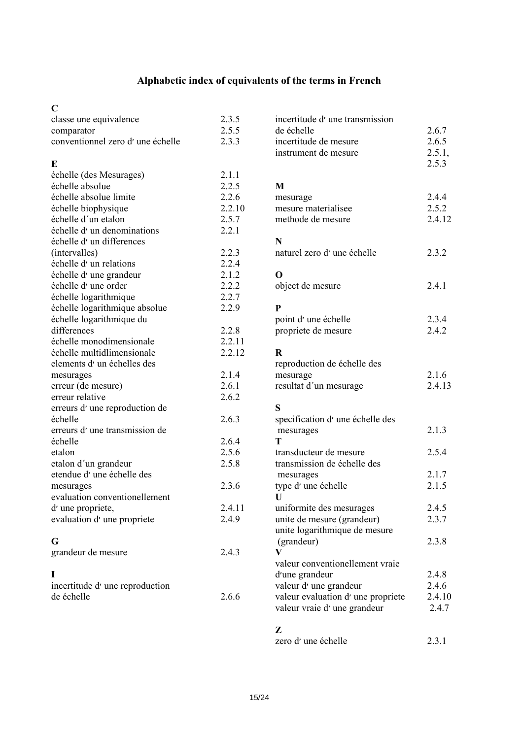# **Alphabetic index of equivalents of the terms in French**

## $\mathbf{C}$

| U<br>classe une equivalence<br>comparator<br>conventionnel zero d'une échelle | 2.3.5<br>2.5.5<br>2.3.3 |
|-------------------------------------------------------------------------------|-------------------------|
| E                                                                             |                         |
| échelle (des Mesurages)                                                       | 2.1.1                   |
| échelle absolue                                                               | 2.2.5                   |
| échelle absolue limite                                                        | 2.2.6                   |
| échelle biophysique                                                           | 2.2.10                  |
| échelle d'un etalon                                                           | 2.5.7                   |
| échelle d'un denominations                                                    | 2.2.1                   |
| échelle d'un differences                                                      |                         |
| (intervalles)                                                                 | 2.2.3                   |
| échelle d'un relations                                                        | 2.2.4                   |
| échelle d'une grandeur                                                        | 2.1.2                   |
| échelle d'une order                                                           | 2.2.2                   |
| échelle logarithmique                                                         | 2.2.7                   |
| échelle logarithmique absolue                                                 | 2.2.9                   |
| échelle logarithmique du<br>differences                                       |                         |
| échelle monodimensionale                                                      | 2.2.8<br>2.2.11         |
| échelle multidlimensionale                                                    | 2.2.12                  |
| elements d'un échelles des                                                    |                         |
|                                                                               | 2.1.4                   |
| mesurages<br>erreur (de mesure)                                               | 2.6.1                   |
| erreur relative                                                               | 2.6.2                   |
| erreurs d'une reproduction de                                                 |                         |
| échelle                                                                       | 2.6.3                   |
| erreurs d'une transmission de                                                 |                         |
| échelle                                                                       | 2.6.4                   |
| etalon                                                                        | 2.5.6                   |
| etalon d'un grandeur                                                          | 2.5.8                   |
| etendue d'une échelle des                                                     |                         |
| mesurages                                                                     | 2.3.6                   |
| evaluation conventionellement                                                 |                         |
| d'une propriete,                                                              | 2.4.11                  |
| evaluation d'une propriete                                                    | 2.4.9                   |
|                                                                               |                         |
| G                                                                             |                         |
| grandeur de mesure                                                            | 2.4.3                   |
|                                                                               |                         |
| L                                                                             |                         |
| incertitude d'une reproduction                                                |                         |
| de échelle                                                                    | 2.6.6                   |
|                                                                               |                         |

| incertitude d'une transmission<br>de échelle<br>incertitude de mesure<br>instrument de mesure                                                                                                                                                                                                                                                                  | 2.6.7<br>2.6.5<br>2.5.1,<br>2.5.3                                             |
|----------------------------------------------------------------------------------------------------------------------------------------------------------------------------------------------------------------------------------------------------------------------------------------------------------------------------------------------------------------|-------------------------------------------------------------------------------|
| M<br>mesurage<br>mesure materialisee<br>methode de mesure                                                                                                                                                                                                                                                                                                      | 2.4.4<br>2.5.2<br>2.4.12                                                      |
| N<br>naturel zero d'une échelle                                                                                                                                                                                                                                                                                                                                | 2.3.2                                                                         |
| O<br>object de mesure                                                                                                                                                                                                                                                                                                                                          | 2.4.1                                                                         |
| P<br>point d'une échelle<br>propriete de mesure                                                                                                                                                                                                                                                                                                                | 2.3.4<br>2.4.2                                                                |
| $\bf R$<br>reproduction de échelle des<br>mesurage<br>resultat d'un mesurage                                                                                                                                                                                                                                                                                   | 2.1.6<br>2.4.13                                                               |
| S<br>specification d'une échelle des<br>mesurages<br>т<br>transducteur de mesure<br>transmission de échelle des<br>mesurages<br>type d'une échelle<br>U<br>uniformite des mesurages<br>unite de mesure (grandeur)<br>unite logarithmique de mesure<br>(grandeur)<br>$\mathbf{V}$<br>valeur conventionellement vraie<br>d'une grandeur<br>valeur d'une grandeur | 2.1.3<br>2.5.4<br>2.1.7<br>2.1.5<br>2.4.5<br>2.3.7<br>2.3.8<br>2.4.8<br>2.4.6 |
| valeur evaluation d'une propriete<br>valeur vraie d'une grandeur                                                                                                                                                                                                                                                                                               | 2.4.10<br>2.4.7                                                               |

## **Z**

| zero d'une échelle | 2.3.1 |
|--------------------|-------|
|--------------------|-------|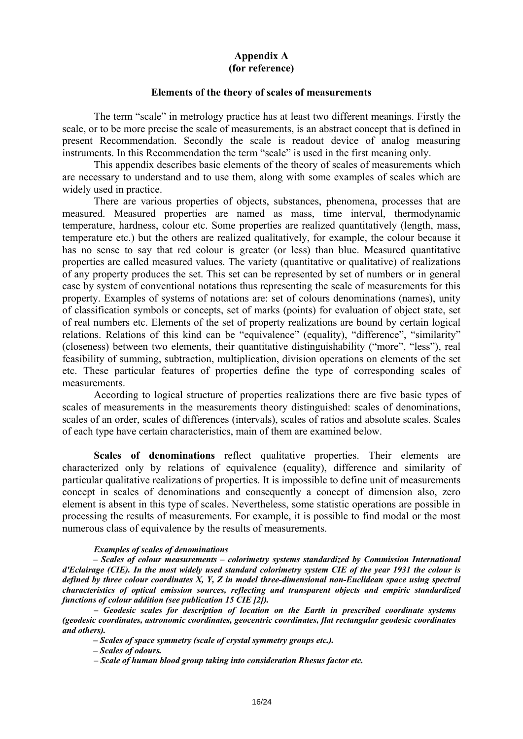### **Appendix А (for reference)**

#### **Elements of the theory of scales of measurements**

The term "scale" in metrology practice has at least two different meanings. Firstly the scale, or to be more precise the scale of measurements, is an abstract concept that is defined in present Recommendation. Secondly the scale is readout device of analog measuring instruments. In this Recommendation the term "scale" is used in the first meaning only.

This appendix describes basic elements of the theory of scales of measurements which are necessary to understand and to use them, along with some examples of scales which are widely used in practice.

There are various properties of objects, substances, phenomena, processes that are measured. Measured properties are named as mass, time interval, thermodynamic temperature, hardness, colour etc. Some properties are realized quantitatively (length, mass, temperature etc.) but the others are realized qualitatively, for example, the colour because it has no sense to say that red colour is greater (or less) than blue. Measured quantitative properties are called measured values. The variety (quantitative or qualitative) of realizations of any property produces the set. This set can be represented by set of numbers or in general case by system of conventional notations thus representing the scale of measurements for this property. Examples of systems of notations are: set of colours denominations (names), unity of classification symbols or concepts, set of marks (points) for evaluation of object state, set of real numbers etc. Elements of the set of property realizations are bound by certain logical relations. Relations of this kind can be "equivalence" (equality), "difference", "similarity" (closeness) between two elements, their quantitative distinguishability ("more", "less"), real feasibility of summing, subtraction, multiplication, division operations on elements of the set etc. These particular features of properties define the type of corresponding scales of measurements.

According to logical structure of properties realizations there are five basic types of scales of measurements in the measurements theory distinguished: scales of denominations, scales of an order, scales of differences (intervals), scales of ratios and absolute scales. Scales of each type have certain characteristics, main of them are examined below.

**Scales of denominations** reflect qualitative properties. Their elements are characterized only by relations of equivalence (equality), difference and similarity of particular qualitative realizations of properties. It is impossible to define unit of measurements concept in scales of denominations and consequently a concept of dimension also, zero element is absent in this type of scales. Nevertheless, some statistic operations are possible in processing the results of measurements. For example, it is possible to find modal or the most numerous class of equivalence by the results of measurements.

#### *Examples of scales of denominations*

*– Scales of colour measurements – colorimetry systems standardized by Commission International d'Eclairage (CIE). In the most widely used standard colorimetry system CIE of the year 1931 the colour is defined by three colour coordinates X, Y, Z in model three-dimensional non-Euclidean space using spectral characteristics of optical emission sources, reflecting and transparent objects and empiric standardized functions of colour addition (see publication 15 CIE [2]).* 

*– Geodesic scales for description of location on the Earth in prescribed coordinate systems (geodesic coordinates, astronomic coordinates, geocentric coordinates, flat rectangular geodesic coordinates and others).* 

*– Scales of space symmetry (scale of crystal symmetry groups etc.).* 

*– Scales of odours.* 

*– Scale of human blood group taking into consideration Rhesus factor etc.*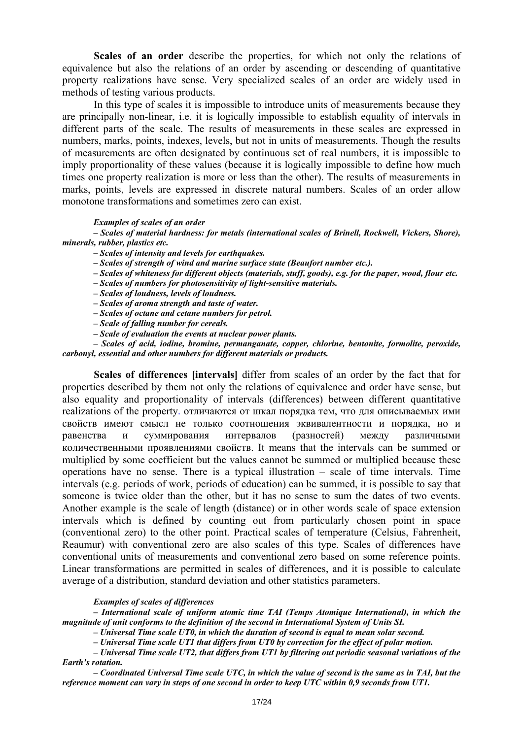**Scales of an order** describe the properties, for which not only the relations of equivalence but also the relations of an order by ascending or descending of quantitative property realizations have sense. Very specialized scales of an order are widely used in methods of testing various products.

In this type of scales it is impossible to introduce units of measurements because they are principally non-linear, i.e. it is logically impossible to establish equality of intervals in different parts of the scale. The results of measurements in these scales are expressed in numbers, marks, points, indexes, levels, but not in units of measurements. Though the results of measurements are often designated by continuous set of real numbers, it is impossible to imply proportionality of these values (because it is logically impossible to define how much times one property realization is more or less than the other). The results of measurements in marks, points, levels are expressed in discrete natural numbers. Scales of an order allow monotone transformations and sometimes zero can exist.

#### *Examples of scales of an order*

*– Scales of material hardness: for metals (international scales of Brinell, Rockwell, Vickers, Shore), minerals, rubber, plastics etc.* 

- *Scales of intensity and levels for earthquakes.*
- *Scales of strength of wind and marine surface state (Beaufort number etc.).*
- *Scales of whiteness for different objects (materials, stuff, goods), e.g. for the paper, wood, flour etc.*
- *Scales of numbers for photosensitivity of light-sensitive materials.*
- *Scales of loudness, levels of loudness.*
- *Scales of aroma strength and taste of water.*
- *Scales of octane and cetane numbers for petrol.*
- *Scale of falling number for cereals.*
- *Scale of evaluation the events at nuclear power plants.*

*– Scales of acid, iodine, bromine, permanganate, copper, chlorine, bentonite, formolite, peroxide, carbonyl, essential and other numbers for different materials or products.* 

**Scales of differences [intervals]** differ from scales of an order by the fact that for properties described by them not only the relations of equivalence and order have sense, but also equality and proportionality of intervals (differences) between different quantitative realizations of the property. отличаются от шкал порядка тем, что для описываемых ими свойств имеют смысл не только соотношения эквивалентности и порядка, но и равенства и суммирования интервалов (разностей) между различными количественными проявлениями свойств. It means that the intervals can be summed or multiplied by some coefficient but the values cannot be summed or multiplied because these operations have no sense. There is a typical illustration – scale of time intervals. Time intervals (e.g. periods of work, periods of education) can be summed, it is possible to say that someone is twice older than the other, but it has no sense to sum the dates of two events. Another example is the scale of length (distance) or in other words scale of space extension intervals which is defined by counting out from particularly chosen point in space (conventional zero) to the other point. Practical scales of temperature (Celsius, Fahrenheit, Reaumur) with conventional zero are also scales of this type. Scales of differences have conventional units of measurements and conventional zero based on some reference points. Linear transformations are permitted in scales of differences, and it is possible to calculate average of a distribution, standard deviation and other statistics parameters.

#### *Examples of scales of differences*

*– International scale of uniform atomic time TAI (Temps Atomique International), in which the magnitude of unit conforms to the definition of the second in International System of Units SI.* 

*– Universal Time scale UT0, in which the duration of second is equal to mean solar second.* 

*– Universal Time scale UT1 that differs from UT0 by correction for the effect of polar motion.* 

*– Universal Time scale UT2, that differs from UT1 by filtering out periodic seasonal variations of the Earth's rotation.* 

*– Coordinated Universal Time scale UTC, in which the value of second is the same as in TAI, but the reference moment can vary in steps of one second in order to keep UTC within 0,9 seconds from UT1.*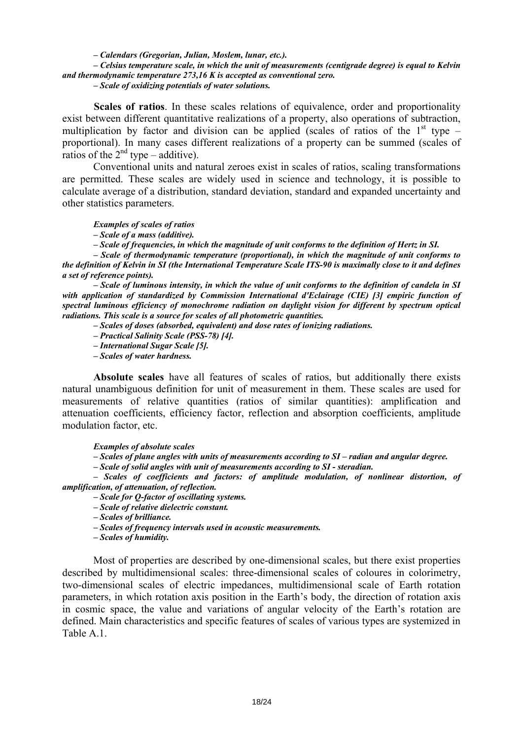#### *– Calendars (Gregorian, Julian, Moslem, lunar, etc.).*

### *– Celsius temperature scale, in which the unit of measurements (centigrade degree) is equal to Kelvin and thermodynamic temperature 273,16 K is accepted as conventional zero.*

*– Scale of oxidizing potentials of water solutions.* 

**Scales of ratios**. In these scales relations of equivalence, order and proportionality exist between different quantitative realizations of a property, also operations of subtraction, multiplication by factor and division can be applied (scales of ratios of the  $1<sup>st</sup>$  type – proportional). In many cases different realizations of a property can be summed (scales of ratios of the  $2<sup>nd</sup>$  type – additive).

Conventional units and natural zeroes exist in scales of ratios, scaling transformations are permitted. These scales are widely used in science and technology, it is possible to calculate average of a distribution, standard deviation, standard and expanded uncertainty and other statistics parameters.

*Examples of scales of ratios* 

*– Scale of a mass (additive).* 

*– Scale of frequencies, in which the magnitude of unit conforms to the definition of Hertz in SI.* 

*– Scale of thermodynamic temperature (proportional), in which the magnitude of unit conforms to the definition of Kelvin in SI (the International Temperature Scale ITS-90 is maximally close to it and defines a set of reference points).* 

*– Scale of luminous intensity, in which the value of unit conforms to the definition of candela in SI*  with application of standardized by Commission International d'Eclairage (CIE) [3] empiric function of *spectral luminous efficiency of monochrome radiation on daylight vision for different by spectrum optical radiations. This scale is a source for scales of all photometric quantities.* 

*– Scales of doses (absorbed, equivalent) and dose rates of ionizing radiations.* 

- *Practical Salinity Scale (PSS-78) [4].*
- *International Sugar Scale [5].*
- *Scales of water hardness.*

**Absolute scales** have all features of scales of ratios, but additionally there exists natural unambiguous definition for unit of measurement in them. These scales are used for measurements of relative quantities (ratios of similar quantities): amplification and attenuation coefficients, efficiency factor, reflection and absorption coefficients, amplitude modulation factor, etc.

*Examples of absolute scales* 

*– Scales of plane angles with units of measurements according to SI – radian and angular degree.* 

*– Scale of solid angles with unit of measurements according to SI - steradian.* 

*– Scales of coefficients and factors: of amplitude modulation, of nonlinear distortion, of amplification, of attenuation, of reflection.* 

*– Scale for Q-factor of oscillating systems.* 

*– Scale of relative dielectric constant.* 

*– Scales of brilliance.* 

*– Scales of frequency intervals used in acoustic measurements.* 

*– Scales of humidity.* 

Most of properties are described by one-dimensional scales, but there exist properties described by multidimensional scales: three-dimensional scales of coloures in colorimetry, two-dimensional scales of electric impedances, multidimensional scale of Earth rotation parameters, in which rotation axis position in the Earth's body, the direction of rotation axis in cosmic space, the value and variations of angular velocity of the Earth's rotation are defined. Main characteristics and specific features of scales of various types are systemized in Table A 1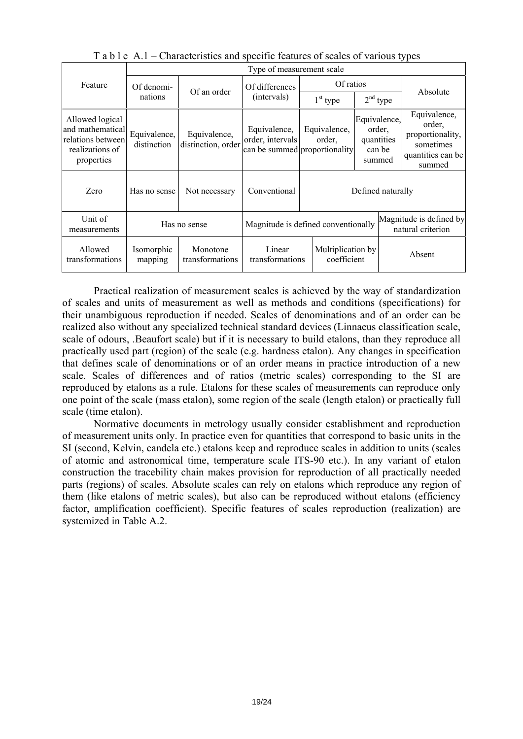|                                                                                           | Type of measurement scale   |                                    |                                                                   |                        |                                                          |  |                                                                                        |  |
|-------------------------------------------------------------------------------------------|-----------------------------|------------------------------------|-------------------------------------------------------------------|------------------------|----------------------------------------------------------|--|----------------------------------------------------------------------------------------|--|
| Feature                                                                                   | Of denomi-<br>nations       | Of an order                        | Of differences<br>(intervals)                                     | Of ratios              |                                                          |  | Absolute                                                                               |  |
|                                                                                           |                             |                                    |                                                                   | $1st$ type             | $2nd$ type                                               |  |                                                                                        |  |
| Allowed logical<br>and mathematical<br>relations between<br>realizations of<br>properties | Equivalence,<br>distinction | Equivalence,<br>distinction, order | Equivalence,<br>order, intervals<br>can be summed proportionality | Equivalence,<br>order. | Equivalence,<br>order,<br>quantities<br>can be<br>summed |  | Equivalence,<br>order,<br>proportionality,<br>sometimes<br>quantities can be<br>summed |  |
| Zero                                                                                      | Has no sense                | Not necessary                      | Conventional                                                      | Defined naturally      |                                                          |  |                                                                                        |  |
| Unit of<br>measurements                                                                   | Has no sense                |                                    | Magnitude is defined conventionally                               |                        |                                                          |  | Magnitude is defined by<br>natural criterion                                           |  |
| Allowed<br>transformations                                                                | Isomorphic<br>mapping       | Monotone<br>transformations        | Multiplication by<br>Linear<br>coefficient<br>transformations     |                        | Absent                                                   |  |                                                                                        |  |

T a b l e A.1 – Characteristics and specific features of scales of various types

Practical realization of measurement scales is achieved by the way of standardization of scales and units of measurement as well as methods and conditions (specifications) for their unambiguous reproduction if needed. Scales of denominations and of an order can be realized also without any specialized technical standard devices (Linnaeus classification scale, scale of odours, .Beaufort scale) but if it is necessary to build etalons, than they reproduce all practically used part (region) of the scale (e.g. hardness etalon). Any changes in specification that defines scale of denominations or of an order means in practice introduction of a new scale. Scales of differences and of ratios (metric scales) corresponding to the SI are reproduced by etalons as a rule. Etalons for these scales of measurements can reproduce only one point of the scale (mass etalon), some region of the scale (length etalon) or practically full scale (time etalon).

Normative documents in metrology usually consider establishment and reproduction of measurement units only. In practice even for quantities that correspond to basic units in the SI (second, Kelvin, candela etc.) etalons keep and reproduce scales in addition to units (scales of atomic and astronomical time, temperature scale ITS-90 etc.). In any variant of etalon construction the tracebility chain makes provision for reproduction of all practically needed parts (regions) of scales. Absolute scales can rely on etalons which reproduce any region of them (like etalons of metric scales), but also can be reproduced without etalons (efficiency factor, amplification coefficient). Specific features of scales reproduction (realization) are systemized in Table А.2.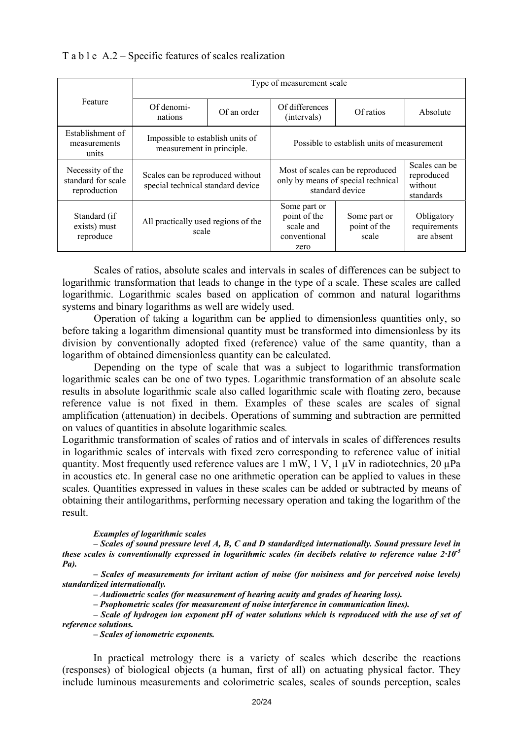### T a b l e A.2 – Specific features of scales realization

|                                                        | Type of measurement scale                                             |             |                                                                                           |                                                     |                                          |  |  |  |
|--------------------------------------------------------|-----------------------------------------------------------------------|-------------|-------------------------------------------------------------------------------------------|-----------------------------------------------------|------------------------------------------|--|--|--|
| Feature                                                | Of denomi-<br>nations                                                 | Of an order | Of differences<br>Of ratios<br>(intervals)                                                |                                                     | Absolute                                 |  |  |  |
| Establishment of<br>measurements<br>units              | Impossible to establish units of<br>measurement in principle.         |             | Possible to establish units of measurement                                                |                                                     |                                          |  |  |  |
| Necessity of the<br>standard for scale<br>reproduction | Scales can be reproduced without<br>special technical standard device |             | Most of scales can be reproduced<br>only by means of special technical<br>standard device | Scales can be<br>reproduced<br>without<br>standards |                                          |  |  |  |
| Standard (if<br>exists) must<br>reproduce              | All practically used regions of the<br>scale                          |             | Some part or<br>point of the<br>scale and<br>conventional<br>zero                         | Some part or<br>point of the<br>scale               | Obligatory<br>requirements<br>are absent |  |  |  |

Scales of ratios, absolute scales and intervals in scales of differences can be subject to logarithmic transformation that leads to change in the type of a scale. These scales are called logarithmic. Logarithmic scales based on application of common and natural logarithms systems and binary logarithms as well are widely used.

Operation of taking a logarithm can be applied to dimensionless quantities only, so before taking a logarithm dimensional quantity must be transformed into dimensionless by its division by conventionally adopted fixed (reference) value of the same quantity, than a logarithm of obtained dimensionless quantity can be calculated.

Depending on the type of scale that was a subject to logarithmic transformation logarithmic scales can be one of two types. Logarithmic transformation of an absolute scale results in absolute logarithmic scale also called logarithmic scale with floating zero, because reference value is not fixed in them. Examples of these scales are scales of signal amplification (attenuation) in decibels. Operations of summing and subtraction are permitted on values of quantities in absolute logarithmic scales*.* 

Logarithmic transformation of scales of ratios and of intervals in scales of differences results in logarithmic scales of intervals with fixed zero corresponding to reference value of initial quantity. Most frequently used reference values are 1 mW, 1 V, 1  $\mu$ V in radiotechnics, 20  $\mu$ Pa in acoustics etc. In general case no one arithmetic operation can be applied to values in these scales. Quantities expressed in values in these scales can be added or subtracted by means of obtaining their antilogarithms, performing necessary operation and taking the logarithm of the result.

#### *Examples of logarithmic scales*

*– Scales of sound pressure level А, В, С and D standardized internationally. Sound pressure level in these scales is conventionally expressed in logarithmic scales (in decibels relative to reference value 2·10-5 Pa).* 

*– Scales of measurements for irritant action of noise (for noisiness and for perceived noise levels) standardized internationally.* 

*– Audiometric scales (for measurement of hearing acuity and grades of hearing loss).* 

*– Psophometric scales (for measurement of noise interference in communication lines).* 

*– Scale of hydrogen ion exponent рН of water solutions which is reproduced with the use of set of reference solutions.* 

*– Scales of ionometric exponents.* 

In practical metrology there is a variety of scales which describe the reactions (responses) of biological objects (a human, first of all) on actuating physical factor. They include luminous measurements and colorimetric scales, scales of sounds perception, scales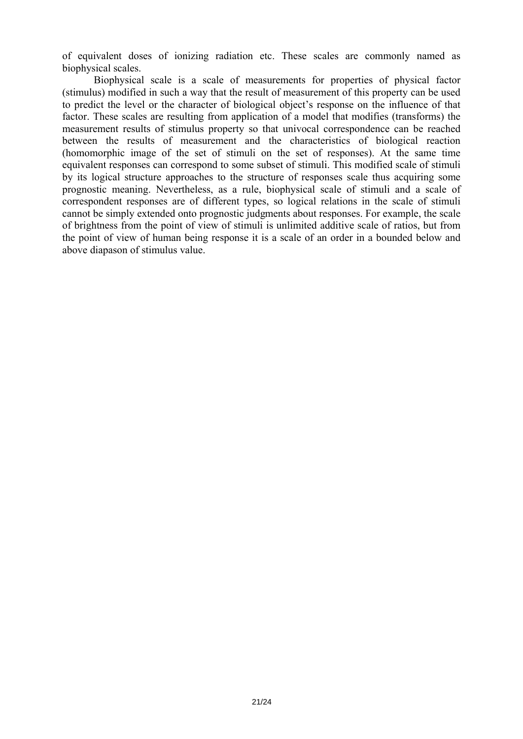of equivalent doses of ionizing radiation etc. These scales are commonly named as biophysical scales.

Biophysical scale is a scale of measurements for properties of physical factor (stimulus) modified in such a way that the result of measurement of this property can be used to predict the level or the character of biological object's response on the influence of that factor. These scales are resulting from application of a model that modifies (transforms) the measurement results of stimulus property so that univocal correspondence can be reached between the results of measurement and the characteristics of biological reaction (homomorphic image of the set of stimuli on the set of responses). At the same time equivalent responses can correspond to some subset of stimuli. This modified scale of stimuli by its logical structure approaches to the structure of responses scale thus acquiring some prognostic meaning. Nevertheless, as a rule, biophysical scale of stimuli and a scale of correspondent responses are of different types, so logical relations in the scale of stimuli cannot be simply extended onto prognostic judgments about responses. For example, the scale of brightness from the point of view of stimuli is unlimited additive scale of ratios, but from the point of view of human being response it is a scale of an order in a bounded below and above diapason of stimulus value.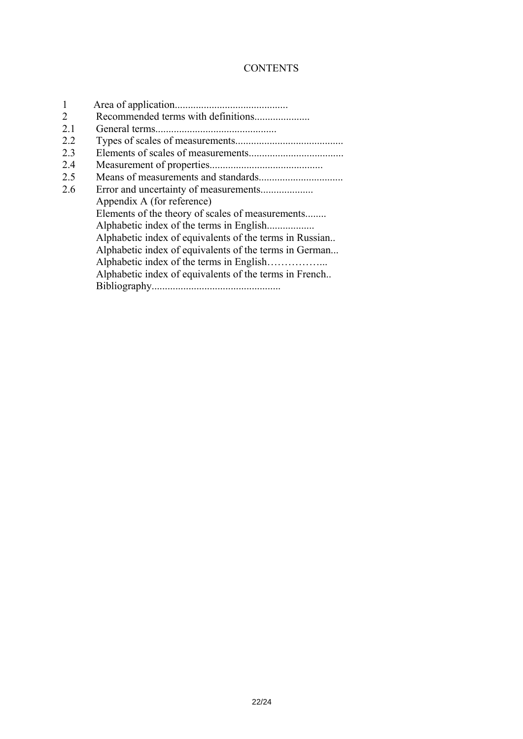# **CONTENTS**

|     | Recommended terms with definitions                      |
|-----|---------------------------------------------------------|
| 2.1 |                                                         |
| 22  |                                                         |
| 23  |                                                         |
| 2.4 |                                                         |
| 2.5 |                                                         |
| 2.6 |                                                         |
|     | Appendix A (for reference)                              |
|     | Elements of the theory of scales of measurements        |
|     |                                                         |
|     | Alphabetic index of equivalents of the terms in Russian |
|     | Alphabetic index of equivalents of the terms in German  |
|     |                                                         |
|     | Alphabetic index of equivalents of the terms in French  |
|     | Bibliography.                                           |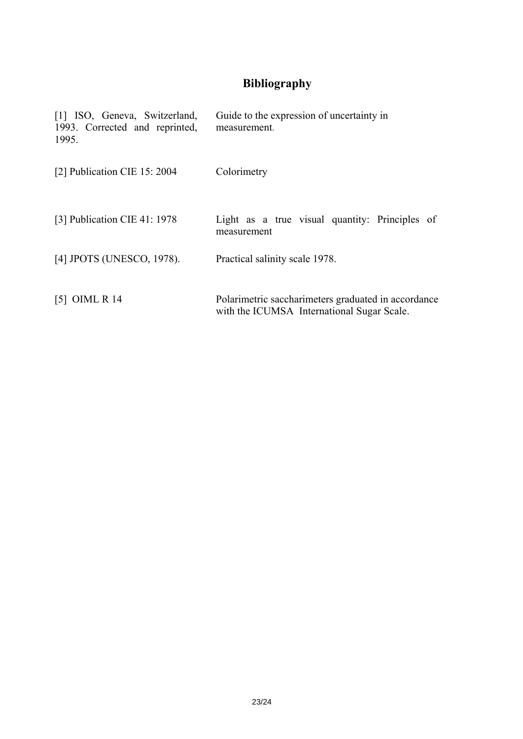# **Bibliography**

| [1] ISO, Geneva, Switzerland,<br>1993. Corrected and reprinted,<br>1995. | Guide to the expression of uncertainty in<br>measurement.                                         |
|--------------------------------------------------------------------------|---------------------------------------------------------------------------------------------------|
| [2] Publication CIE 15: 2004                                             | Colorimetry                                                                                       |
| [3] Publication CIE 41: 1978                                             | Light as a true visual quantity: Principles of<br>measurement                                     |
| [4] JPOTS (UNESCO, 1978).                                                | Practical salinity scale 1978.                                                                    |
| $[5]$ OIML R 14                                                          | Polarimetric saccharimeters graduated in accordance<br>with the ICUMSA International Sugar Scale. |